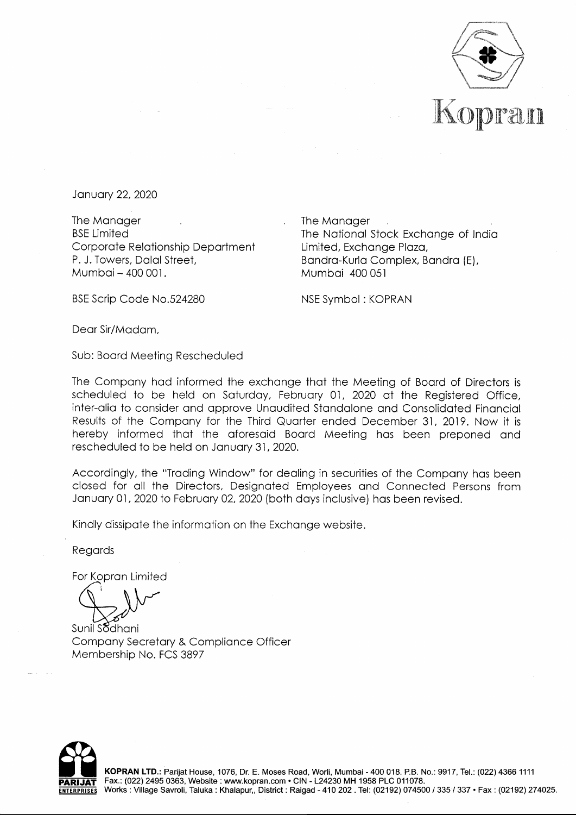

January 22, 2020

The Manager BSE Limited Corporate Relationship Department P. J. Towers, Dalal Street, Mumbai - 400 001.

The Manager The National Stock Exchange of India Limited, Exchange Plaza, Bandra-Kurla Complex, Bandra {E), Mumbai 400 051

BSE Scrip Code No.524280

NSE Symbol : KOPRAN

Dear Sir/Madam,

Sub: Board Meeting Rescheduled

The Company had informed the exchange that the Meeting of Board of Directors is scheduled to be held on Saturday, February 01, 2020 at the Registered Office, inter-alia to consider and approve Unaudited Standalone and Consolidated Financial Results of the Company for the Third Quarter ended December 31, 2019. Now it is hereby informed that the aforesaid Board Meeting has been preponed and rescheduled to be held on January 31, 2020.

Accordingly, the "Trading Window" for dealing in securities of the Company has been closed for all the Directors, Designated Employees and Connected Persons from January 01, 2020 to February 02, 2020 {both days inclusive) has been revised.

Kindly dissipate the information on the Exchange website.

Regards

For Kopran Limited

Sunil Sodhani Company Secretary & Compliance Officer Membership No. FCS 3897



KOPRAN LTD.: Parijat House, 1076, Dr. E. Moses Road, Worli, Mumbai - 400 018. P.B. No.: 9917, Tel.: (022) 4366 1111 **PARl.JAT** Fax.: (022) 2495 0363, Website: www.kopran.com • CIN - L24230 MH 1958 PLC 011078. Works: Village Savroli, Taluka: Khalapur,, District: Raigad - 410 202. Tel: (02192) 074500 / 335 / 337 • Fax: (02192) 274025.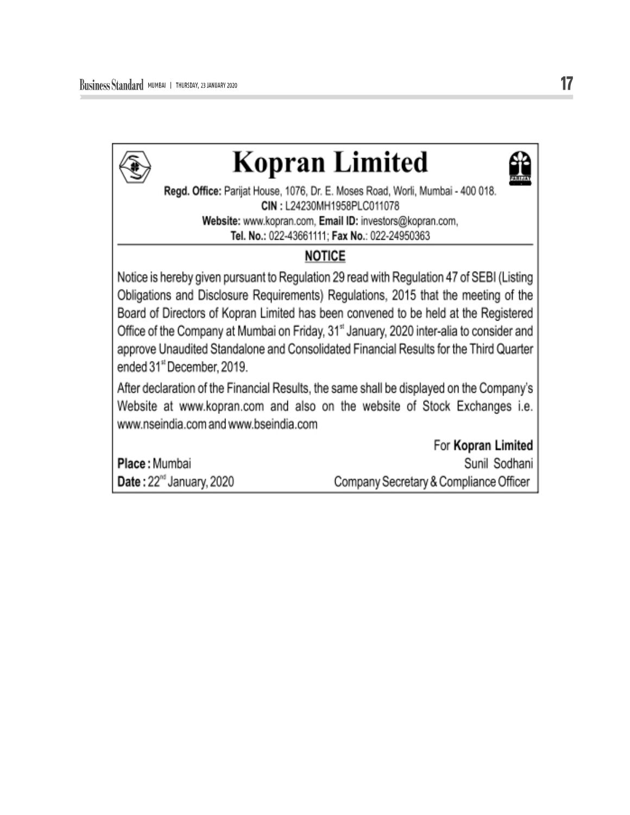

## **Kopran Limited**



Regd. Office: Parijat House, 1076, Dr. E. Moses Road, Worli, Mumbai - 400 018. CIN: L24230MH1958PLC011078 Website: www.kopran.com, Email ID: investors@kopran.com, Tel. No.: 022-43661111: Fax No.: 022-24950363

## **NOTICE**

Notice is hereby given pursuant to Regulation 29 read with Regulation 47 of SEBI (Listing Obligations and Disclosure Requirements) Regulations, 2015 that the meeting of the Board of Directors of Kopran Limited has been convened to be held at the Registered Office of the Company at Mumbai on Friday, 31<sup>st</sup> January, 2020 inter-alia to consider and approve Unaudited Standalone and Consolidated Financial Results for the Third Quarter ended 31" December, 2019.

After declaration of the Financial Results, the same shall be displayed on the Company's Website at www.kopran.com and also on the website of Stock Exchanges i.e. www.nseindia.com and www.bseindia.com

Place: Mumbai Date: 22<sup>nd</sup> January, 2020

For Kopran Limited Sunil Sodhani Company Secretary & Compliance Officer